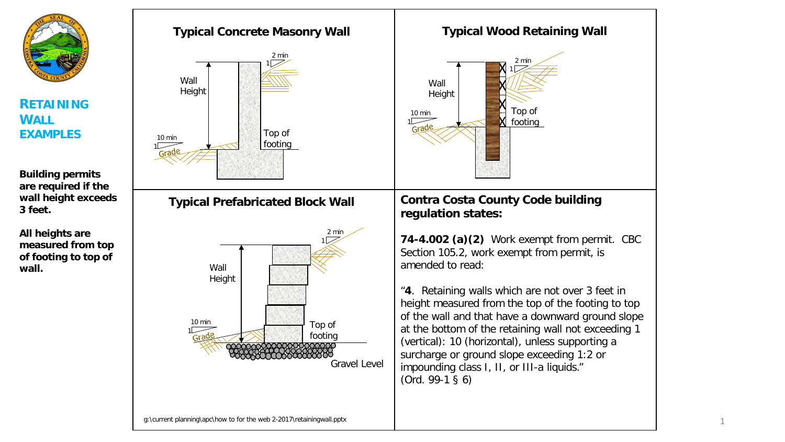

**RETAINING WALL EXAMPLES**

**Building permits are required if the wall height exceeds 3 feet.**

**All heights are measured from top of footing to top of wall.**



1